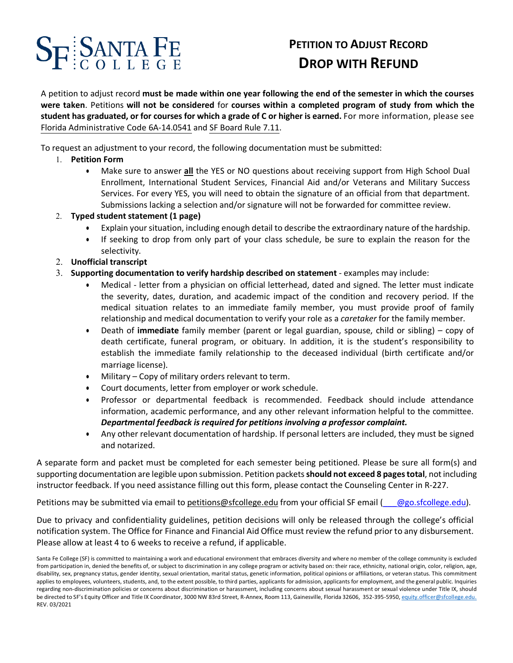## ${\bf S}_{\bf F}$  **SANTA FE**

## **PETITION TO ADJUST RECORD DROP WITH REFUND**

 A petition to adjust record **must be made within one year following the end of the semester in which the courses**  were taken. Petitions will not be considered for courses within a completed program of study from which the  **student has graduated, or for courses for which a grade of C or higher is earned.** For more information, please see Florida Administrative Code 6A-14.0541 and SF Board Rule 7.11.

To request an adjustment to your record, the following documentation must be submitted:

- 1. **Petition Form**
	- • Make sure to answer **all** the YES or NO questions about receiving support from High School Dual Enrollment, International Student Services, Financial Aid and/or Veterans and Military Success Services. For every YES, you will need to obtain the signature of an official from that department. Submissions lacking a selection and/or signature will not be forwarded for committee review.

#### 2. **Typed student statement (1 page)**

- Explain your situation, including enough detail to describe the extraordinary nature of the hardship.
- • If seeking to drop from only part of your class schedule, be sure to explain the reason for the selectivity.
- 2. **Unofficial transcript**
- 3. **Supporting documentation to verify hardship described on statement**  examples may include:
	- • Medical letter from a physician on official letterhead, dated and signed. The letter must indicate the severity, dates, duration, and academic impact of the condition and recovery period. If the medical situation relates to an immediate family member, you must provide proof of family relationship and medical documentation to verify your role as a *caretaker* for the family member.
	- • Death of **immediate** family member (parent or legal guardian, spouse, child or sibling) copy of death certificate, funeral program, or obituary. In addition, it is the student's responsibility to establish the immediate family relationship to the deceased individual (birth certificate and/or marriage license).
	- Military Copy of military orders relevant to term.
	- Court documents, letter from employer or work schedule.
	- • Professor or departmental feedback is recommended. Feedback should include attendance information, academic performance, and any other relevant information helpful to the committee.  *Departmental feedback is required for petitions involving a professor complaint.*
	- • Any other relevant documentation of hardship. If personal letters are included, they must be signed and notarized.

 A separate form and packet must be completed for each semester being petitioned. Please be sure all form(s) and supporting documentation are legible upon submission. Petition packets **should not exceed 8 pages total**, not including instructor feedback. If you need assistance filling out this form, please contact the Counseling Center in R-227.

Petitions may be submitted via email to [petitions@sfcollege.edu](mailto:petitions@sfcollege.edu) from your official SF email (emgo.sfcollege.edu).

 Due to privacy and confidentiality guidelines, petition decisions will only be released through the college's official notification system. The Office for Finance and Financial Aid Office must review the refund prior to any disbursement. Please allow at least 4 to 6 weeks to receive a refund, if applicable.

 Santa Fe College (SF) is committed to maintaining a work and educational environment that embraces diversity and where no member of the college community is excluded from participation in, denied the benefits of, or subject to discrimination in any college program or activity based on: their race, ethnicity, national origin, color, religion, age, disability, sex, pregnancy status, gender identity, sexual orientation, marital status, genetic information, political opinions or affiliations, or veteran status. This commitment applies to employees, volunteers, students, and, to the extent possible, to third parties, applicants for admission, applicants for employment, and the general public. Inquiries regarding non-discrimination policies or concerns about discrimination or harassment, including concerns about sexual harassment or sexual violence under Title IX, should be directed to SF's Equity Officer and Title IX Coordinator, 3000 NW 83rd Street, R-Annex, Room 113, Gainesville, Florida 32606, 352-395-5950, [equity.officer@sfcollege.edu](mailto:equity.officer@sfcollege.edu). REV. 03/2021